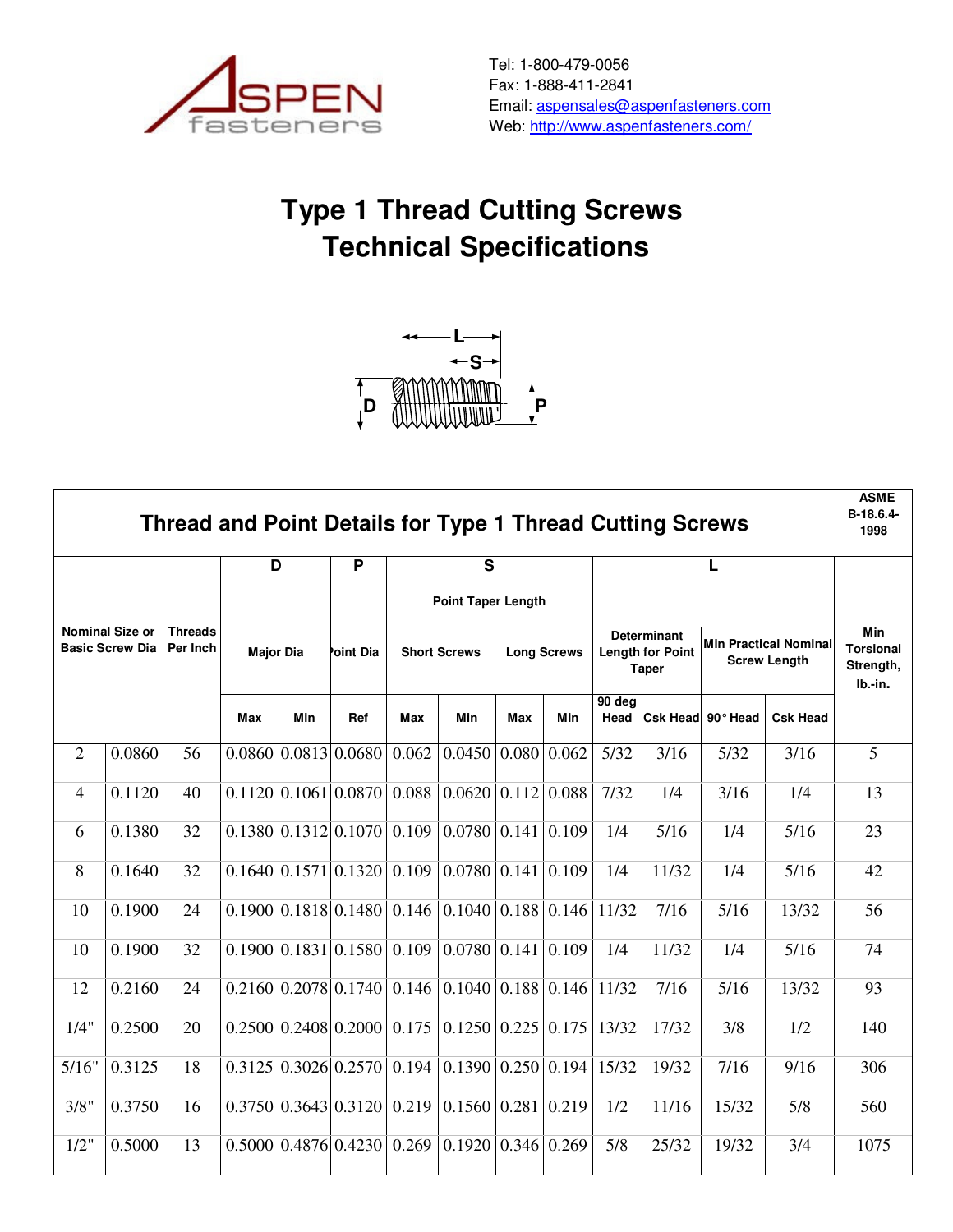

## **Type 1 Thread Cutting Screws Technical Specifications**



| <b>Thread and Point Details for Type 1 Thread Cutting Screws</b> |        |                            |                  |     |                            |                     |                                                                                          |                    |     | <b>ASME</b><br>B-18.6.4-<br>1998                              |       |                                              |                 |                                                 |
|------------------------------------------------------------------|--------|----------------------------|------------------|-----|----------------------------|---------------------|------------------------------------------------------------------------------------------|--------------------|-----|---------------------------------------------------------------|-------|----------------------------------------------|-----------------|-------------------------------------------------|
|                                                                  |        |                            | D                |     | P                          |                     | S                                                                                        |                    |     |                                                               |       |                                              |                 |                                                 |
|                                                                  |        |                            |                  |     |                            |                     | <b>Point Taper Length</b>                                                                |                    |     |                                                               |       |                                              |                 |                                                 |
| <b>Nominal Size or</b><br><b>Basic Screw Dia</b>                 |        | <b>Threads</b><br>Per Inch | <b>Major Dia</b> |     | <b>oint Dia</b>            | <b>Short Screws</b> |                                                                                          | <b>Long Screws</b> |     | <b>Determinant</b><br><b>Length for Point</b><br><b>Taper</b> |       | Min Practical Nominal<br><b>Screw Length</b> |                 | Min<br><b>Torsional</b><br>Strength,<br>lb.-in. |
|                                                                  |        |                            | Max              | Min | Ref                        | <b>Max</b>          | Min                                                                                      | <b>Max</b>         | Min | 90 deg<br>Head                                                |       | Csk Head 90° Head                            | <b>Csk Head</b> |                                                 |
| 2                                                                | 0.0860 | 56                         |                  |     | $0.0860$ $0.0813$ $0.0680$ | 0.062               | $0.0450 \mid 0.080 \mid 0.062$                                                           |                    |     | 5/32                                                          | 3/16  | 5/32                                         | 3/16            | 5                                               |
| 4                                                                | 0.1120 | 40                         |                  |     |                            |                     | $0.1120$   0.1061   0.0870   0.088   0.0620   0.112   0.088                              |                    |     | 7/32                                                          | 1/4   | 3/16                                         | 1/4             | 13                                              |
| 6                                                                | 0.1380 | 32                         |                  |     |                            |                     | $0.1380$   $0.1312$   $0.1070$   $0.109$   $0.0780$   $0.141$   $0.109$                  |                    |     | 1/4                                                           | 5/16  | 1/4                                          | 5/16            | 23                                              |
| 8                                                                | 0.1640 | 32                         |                  |     |                            |                     | $0.1640$   $0.1571$   $0.1320$   $0.109$   $0.0780$   $0.141$   $0.109$                  |                    |     | 1/4                                                           | 11/32 | 1/4                                          | 5/16            | 42                                              |
| 10                                                               | 0.1900 | 24                         |                  |     |                            |                     | $0.1900 \mid 0.1818 \mid 0.1480 \mid 0.146 \mid 0.1040 \mid 0.188 \mid 0.146 \mid 11/32$ |                    |     |                                                               | 7/16  | 5/16                                         | 13/32           | 56                                              |
| 10                                                               | 0.1900 | 32                         |                  |     |                            |                     | $0.1900$   $0.1831$   $0.1580$   $0.109$   $0.0780$   $0.141$   $0.109$                  |                    |     | 1/4                                                           | 11/32 | 1/4                                          | 5/16            | 74                                              |
| 12                                                               | 0.2160 | 24                         |                  |     |                            |                     | $0.2160$   0.2078   0.1740   0.146   0.1040   0.188   0.146                              |                    |     | 11/32                                                         | 7/16  | 5/16                                         | 13/32           | 93                                              |
| 1/4"                                                             | 0.2500 | 20                         |                  |     |                            |                     | $0.2500$   $0.2408$   $0.2000$   $0.175$   $0.1250$   $0.225$   $0.175$                  |                    |     | 13/32                                                         | 17/32 | 3/8                                          | 1/2             | 140                                             |
| 5/16"                                                            | 0.3125 | 18                         |                  |     |                            |                     | $0.3125 \mid 0.3026 \mid 0.2570 \mid 0.194 \mid 0.1390 \mid 0.250 \mid 0.194 \mid$       |                    |     | 15/32                                                         | 19/32 | 7/16                                         | 9/16            | 306                                             |
| 3/8"                                                             | 0.3750 | 16                         |                  |     |                            |                     | $0.3750$   0.3643   0.3120   0.219   0.1560   0.281   0.219                              |                    |     | 1/2                                                           | 11/16 | 15/32                                        | 5/8             | 560                                             |
| $1/2$ "                                                          | 0.5000 | 13                         |                  |     |                            |                     | $0.5000$   $0.4876$   $0.4230$   $0.269$   $0.1920$   $0.346$   $0.269$                  |                    |     | 5/8                                                           | 25/32 | 19/32                                        | 3/4             | 1075                                            |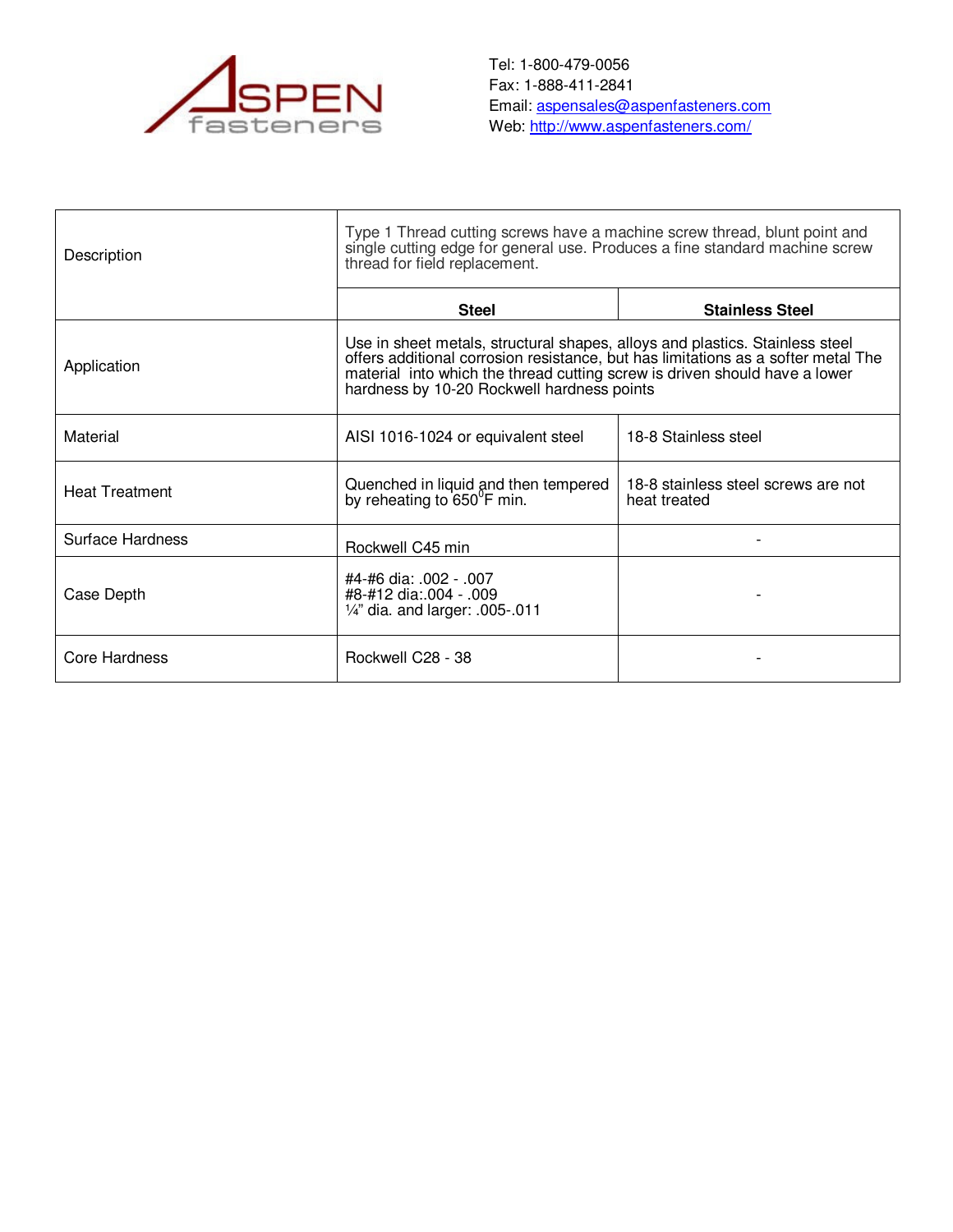

| Description           | Type 1 Thread cutting screws have a machine screw thread, blunt point and<br>single cutting edge for general use. Produces a fine standard machine screw<br>thread for field replacement.                                                                                                     |                                                     |  |  |  |  |  |  |
|-----------------------|-----------------------------------------------------------------------------------------------------------------------------------------------------------------------------------------------------------------------------------------------------------------------------------------------|-----------------------------------------------------|--|--|--|--|--|--|
|                       | <b>Steel</b>                                                                                                                                                                                                                                                                                  | <b>Stainless Steel</b>                              |  |  |  |  |  |  |
| Application           | Use in sheet metals, structural shapes, alloys and plastics. Stainless steel<br>offers additional corrosion resistance, but has limitations as a softer metal The<br>material into which the thread cutting screw is driven should have a lower<br>hardness by 10-20 Rockwell hardness points |                                                     |  |  |  |  |  |  |
| Material              | AISI 1016-1024 or equivalent steel                                                                                                                                                                                                                                                            | 18-8 Stainless steel                                |  |  |  |  |  |  |
| <b>Heat Treatment</b> | Quenched in liquid and then tempered<br>by reheating to 650 <sup>°</sup> F min.                                                                                                                                                                                                               | 18-8 stainless steel screws are not<br>heat treated |  |  |  |  |  |  |
| Surface Hardness      | Rockwell C45 min                                                                                                                                                                                                                                                                              |                                                     |  |  |  |  |  |  |
| Case Depth            | #4-#6 dia: .002 - .007<br>#8-#12 dia:.004 - .009<br>$\frac{1}{4}$ dia. and larger: .005-.011                                                                                                                                                                                                  |                                                     |  |  |  |  |  |  |
| Core Hardness         | Rockwell C28 - 38                                                                                                                                                                                                                                                                             |                                                     |  |  |  |  |  |  |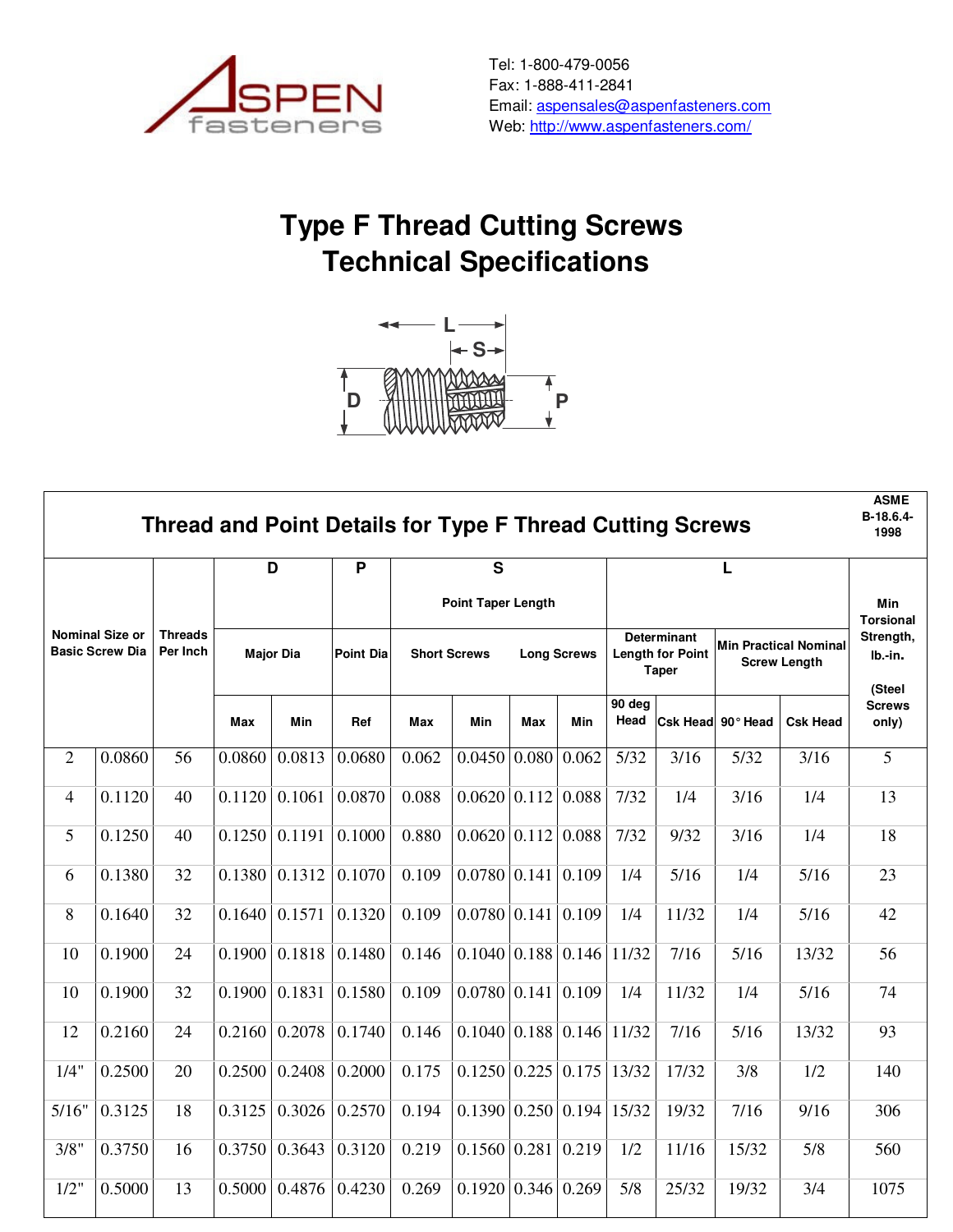

 **ASME** 

## **Type F Thread Cutting Screws Technical Specifications**



| <b>Thread and Point Details for Type F Thread Cutting Screws</b> |        |                            |                  |                 |                  |                     |                                           |                    |                | ASME<br>B-18.6.4-<br>1998                                     |       |                                                     |                        |                                |
|------------------------------------------------------------------|--------|----------------------------|------------------|-----------------|------------------|---------------------|-------------------------------------------|--------------------|----------------|---------------------------------------------------------------|-------|-----------------------------------------------------|------------------------|--------------------------------|
|                                                                  |        |                            |                  | D               | $\overline{P}$   |                     | S                                         |                    |                |                                                               |       |                                                     |                        |                                |
|                                                                  |        |                            |                  |                 |                  |                     | <b>Point Taper Length</b>                 |                    |                |                                                               |       |                                                     |                        | <b>Min</b><br><b>Torsional</b> |
| <b>Nominal Size or</b><br><b>Basic Screw Dia</b>                 |        | <b>Threads</b><br>Per Inch | <b>Major Dia</b> |                 | <b>Point Dia</b> | <b>Short Screws</b> |                                           | <b>Long Screws</b> |                | <b>Determinant</b><br><b>Length for Point</b><br><b>Taper</b> |       | <b>Min Practical Nominal</b><br><b>Screw Length</b> |                        | Strength,<br>lb.-in.<br>(Steel |
|                                                                  |        |                            | Max              | Min             | Ref              | Max                 | Min<br>Max<br><b>Min</b>                  |                    | 90 deg<br>Head | Csk Head 90° Head                                             |       | <b>Csk Head</b>                                     | <b>Screws</b><br>only) |                                |
| $\overline{2}$                                                   | 0.0860 | 56                         | 0.0860           | 0.0813          | 0.0680           | 0.062               | 0.0450                                    | 0.080              | 0.062          | 5/32                                                          | 3/16  | 5/32                                                | 3/16                   | 5                              |
| $\overline{4}$                                                   | 0.1120 | 40                         | 0.1120           | 0.1061          | 0.0870           | 0.088               | $0.0620 \mid 0.112$                       |                    | 0.088          | 7/32                                                          | 1/4   | 3/16                                                | 1/4                    | 13                             |
| 5                                                                | 0.1250 | 40                         | 0.1250           | 0.1191          | 0.1000           | 0.880               | $0.0620$ 0.112 0.088                      |                    |                | 7/32                                                          | 9/32  | 3/16                                                | 1/4                    | 18                             |
| 6                                                                | 0.1380 | 32                         |                  | 0.1380 0.1312   | 0.1070           | 0.109               | $0.0780$ 0.141 0.109                      |                    |                | 1/4                                                           | 5/16  | 1/4                                                 | 5/16                   | 23                             |
| 8                                                                | 0.1640 | 32                         | 0.1640           | 0.1571          | 0.1320           | 0.109               | $0.0780$ 0.141 0.109                      |                    |                | 1/4                                                           | 11/32 | 1/4                                                 | 5/16                   | 42                             |
| 10                                                               | 0.1900 | 24                         | 0.1900           | 0.1818          | 0.1480           | 0.146               | $0.1040 \mid 0.188 \mid 0.146 \mid 11/32$ |                    |                |                                                               | 7/16  | 5/16                                                | 13/32                  | 56                             |
| 10                                                               | 0.1900 | 32                         | 0.1900           | 0.1831          | 0.1580           | 0.109               | $0.0780$ 0.141 0.109                      |                    |                | 1/4                                                           | 11/32 | 1/4                                                 | 5/16                   | 74                             |
| 12                                                               | 0.2160 | 24                         |                  | $0.2160$ 0.2078 | 0.1740           | 0.146               | $0.1040$ 0.188 0.146 11/32                |                    |                |                                                               | 7/16  | 5/16                                                | 13/32                  | 93                             |
| 1/4"                                                             | 0.2500 | 20                         | 0.2500           | 0.2408          | 0.2000           | 0.175               | $0.1250$   $0.225$   $0.175$   $13/32$    |                    |                |                                                               | 17/32 | 3/8                                                 | 1/2                    | 140                            |
| 5/16"                                                            | 0.3125 | 18                         | 0.3125           | 0.3026          | 0.2570           | 0.194               | $0.1390 \mid 0.250 \mid 0.194 \mid 15/32$ |                    |                |                                                               | 19/32 | 7/16                                                | 9/16                   | 306                            |
| 3/8"                                                             | 0.3750 | 16                         | 0.3750           | 0.3643          | 0.3120           | 0.219               | $0.1560$ 0.281                            |                    | 0.219          | 1/2                                                           | 11/16 | 15/32                                               | 5/8                    | 560                            |
| 1/2"                                                             | 0.5000 | 13                         | 0.5000           | 0.4876          | 0.4230           | 0.269               | $0.1920 \mid 0.346 \mid 0.269$            |                    |                | 5/8                                                           | 25/32 | 19/32                                               | 3/4                    | 1075                           |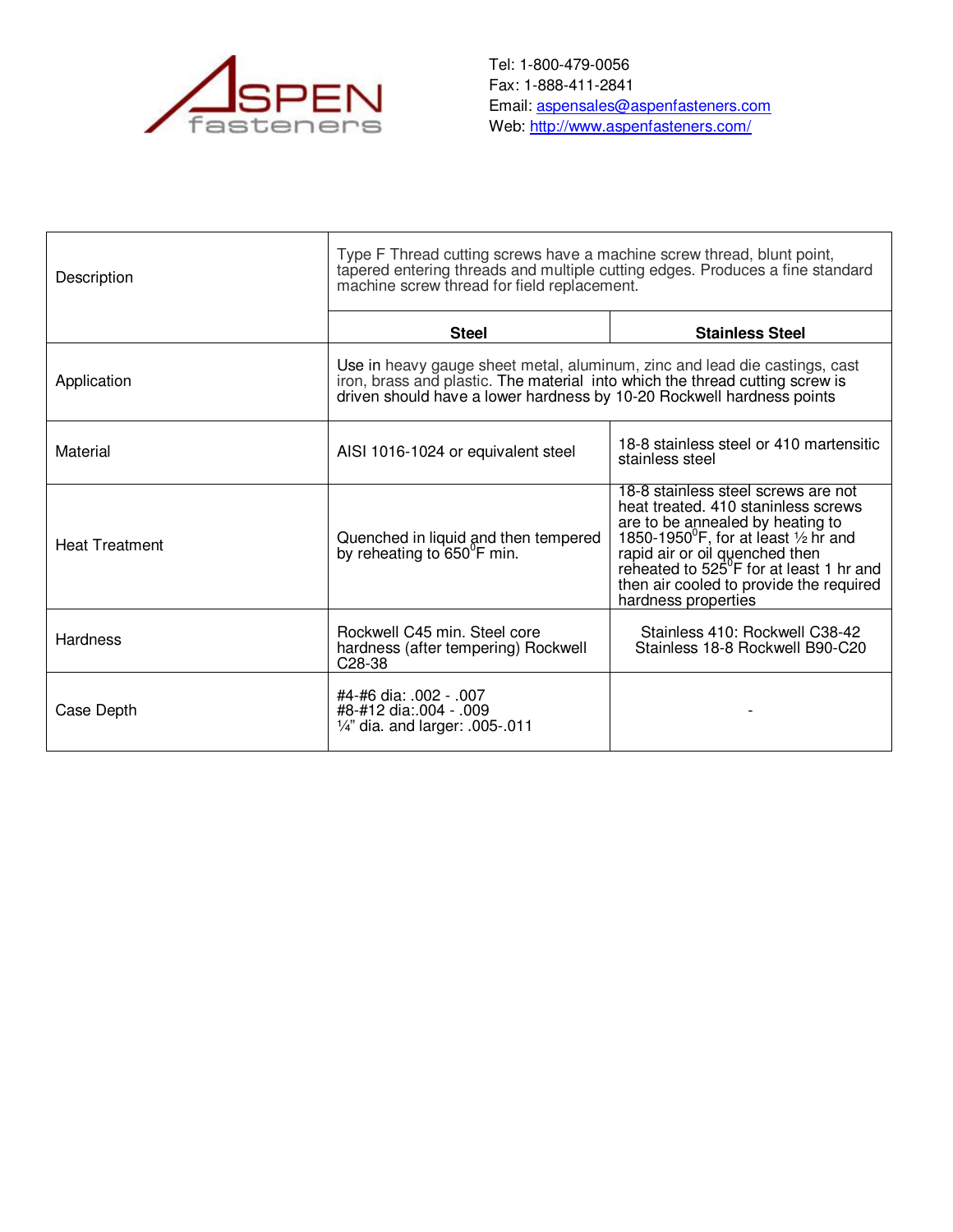

| Description           | Type F Thread cutting screws have a machine screw thread, blunt point,<br>tapered entering threads and multiple cutting edges. Produces a fine standard<br>machine screw thread for field replacement.                              |                                                                                                                                                                                                                                                                                                                                           |  |  |  |  |  |
|-----------------------|-------------------------------------------------------------------------------------------------------------------------------------------------------------------------------------------------------------------------------------|-------------------------------------------------------------------------------------------------------------------------------------------------------------------------------------------------------------------------------------------------------------------------------------------------------------------------------------------|--|--|--|--|--|
|                       | <b>Steel</b>                                                                                                                                                                                                                        | <b>Stainless Steel</b>                                                                                                                                                                                                                                                                                                                    |  |  |  |  |  |
| Application           | Use in heavy gauge sheet metal, aluminum, zinc and lead die castings, cast<br>iron, brass and plastic. The material into which the thread cutting screw is<br>driven should have a lower hardness by 10-20 Rockwell hardness points |                                                                                                                                                                                                                                                                                                                                           |  |  |  |  |  |
| Material              | AISI 1016-1024 or equivalent steel                                                                                                                                                                                                  | 18-8 stainless steel or 410 martensitic<br>stainless steel                                                                                                                                                                                                                                                                                |  |  |  |  |  |
| <b>Heat Treatment</b> | Quenched in liquid and then tempered<br>by reheating to 650°F min.                                                                                                                                                                  | 18-8 stainless steel screws are not<br>heat treated, 410 staninless screws<br>are to be annealed by heating to<br>1850-1950 <sup>°</sup> F, for at least $\frac{1}{2}$ hr and<br>rapid air or oil quenched then<br>reheated to 525 <sup>°</sup> F for at least 1 hr and<br>then air cooled to provide the required<br>hardness properties |  |  |  |  |  |
| <b>Hardness</b>       | Rockwell C45 min. Steel core<br>hardness (after tempering) Rockwell<br>C <sub>28</sub> -38                                                                                                                                          | Stainless 410: Rockwell C38-42<br>Stainless 18-8 Rockwell B90-C20                                                                                                                                                                                                                                                                         |  |  |  |  |  |
| Case Depth            | #4-#6 dia: .002 - .007<br>#8-#12 dia:.004 - .009<br>1/4" dia. and larger: .005-.011                                                                                                                                                 |                                                                                                                                                                                                                                                                                                                                           |  |  |  |  |  |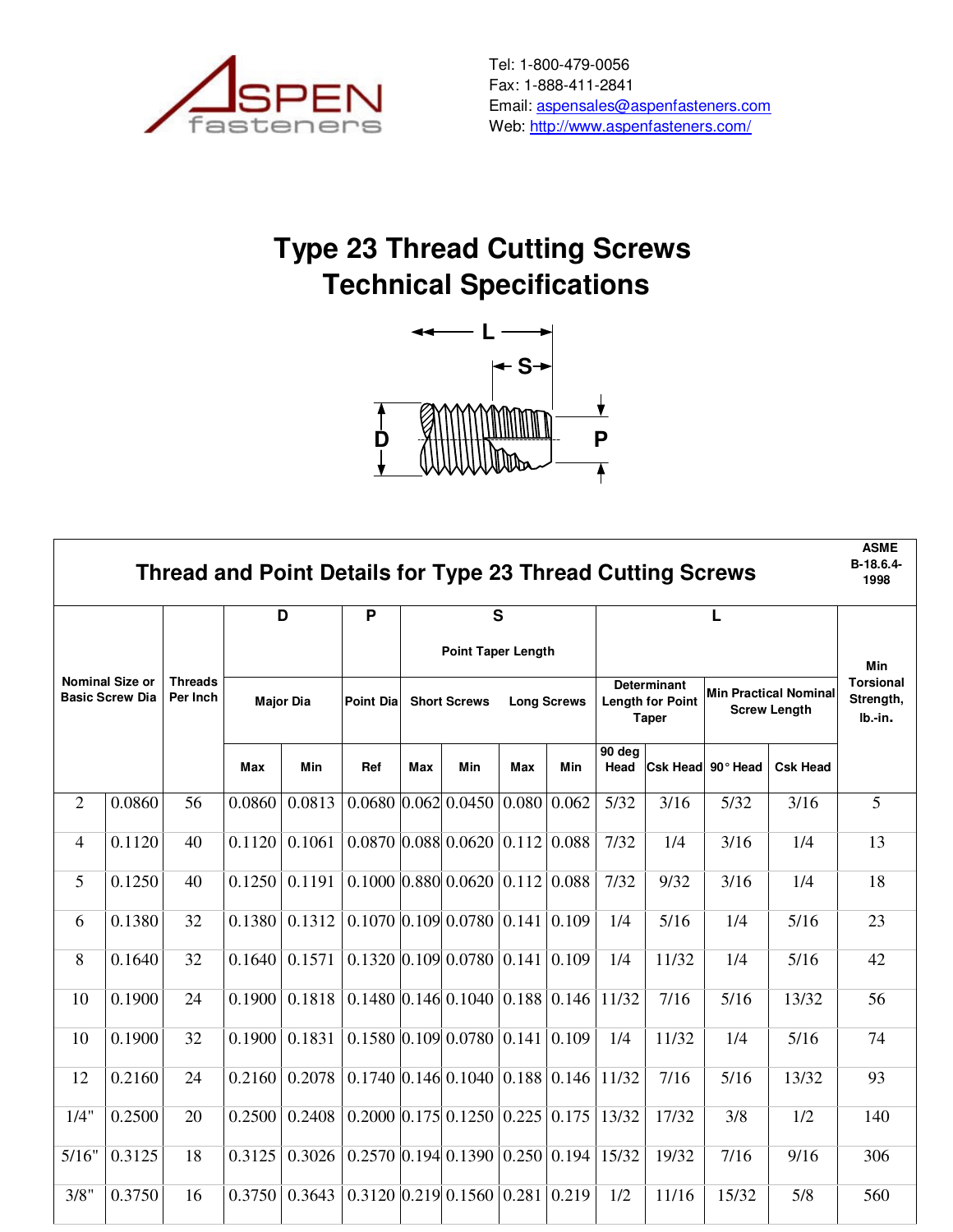

## **Type 23 Thread Cutting Screws Technical Specifications**



| <b>Thread and Point Details for Type 23 Thread Cutting Screws</b> |        |                            |                  |        |                  |                     |                                           |                |                    | <b>ASME</b><br>B-18.6.4-<br>1998 |                                                               |                                                     |                 |                                          |
|-------------------------------------------------------------------|--------|----------------------------|------------------|--------|------------------|---------------------|-------------------------------------------|----------------|--------------------|----------------------------------|---------------------------------------------------------------|-----------------------------------------------------|-----------------|------------------------------------------|
|                                                                   |        |                            |                  | D      | P                |                     |                                           | $\overline{s}$ |                    |                                  |                                                               | L                                                   |                 |                                          |
|                                                                   |        |                            |                  |        |                  |                     | <b>Point Taper Length</b>                 |                |                    |                                  |                                                               |                                                     |                 | Min                                      |
| <b>Nominal Size or</b><br><b>Basic Screw Dia</b>                  |        | <b>Threads</b><br>Per Inch | <b>Major Dia</b> |        | <b>Point Dia</b> | <b>Short Screws</b> |                                           |                | <b>Long Screws</b> |                                  | <b>Determinant</b><br><b>Length for Point</b><br><b>Taper</b> | <b>Min Practical Nominal</b><br><b>Screw Length</b> |                 | <b>Torsional</b><br>Strength,<br>Ib.-in. |
|                                                                   |        |                            | Max              | Min    | Ref              | Max                 | Min                                       | <b>Max</b>     | Min                | 90 deg<br>Head                   |                                                               | Csk Head 90° Head                                   | <b>Csk Head</b> |                                          |
| $\overline{2}$                                                    | 0.0860 | 56                         | 0.0860           | 0.0813 |                  |                     | 0.0680 0.062 0.0450                       |                | $0.080 \mid 0.062$ | 5/32                             | 3/16                                                          | 5/32                                                | 3/16            | 5                                        |
| 4                                                                 | 0.1120 | 40                         | 0.1120           | 0.1061 |                  |                     | $0.0870$ 0.088 0.0620 0.112 0.088         |                |                    | 7/32                             | 1/4                                                           | 3/16                                                | 1/4             | 13                                       |
| 5                                                                 | 0.1250 | 40                         | 0.1250           | 0.1191 |                  |                     | $0.1000$ $0.880$ $0.0620$ $0.112$ $0.088$ |                |                    | 7/32                             | 9/32                                                          | 3/16                                                | 1/4             | 18                                       |
| 6                                                                 | 0.1380 | 32                         | 0.1380           | 0.1312 |                  |                     | $0.1070$ 0.109 0.0780 0.141 0.109         |                |                    | 1/4                              | 5/16                                                          | 1/4                                                 | 5/16            | 23                                       |
| 8                                                                 | 0.1640 | 32                         | 0.1640           | 0.1571 |                  |                     | $0.1320$ 0.109 0.0780 0.141 0.109         |                |                    | 1/4                              | 11/32                                                         | 1/4                                                 | 5/16            | 42                                       |
| 10                                                                | 0.1900 | 24                         | 0.1900           | 0.1818 |                  |                     | $0.1480$ $0.146$ $0.1040$ $0.188$ $0.146$ |                |                    | 11/32                            | 7/16                                                          | 5/16                                                | 13/32           | 56                                       |
| 10                                                                | 0.1900 | 32                         | 0.1900           | 0.1831 |                  |                     | $0.1580$ 0.109 0.0780 0.141 0.109         |                |                    | 1/4                              | 11/32                                                         | 1/4                                                 | 5/16            | 74                                       |
| 12                                                                | 0.2160 | 24                         | 0.2160           | 0.2078 |                  |                     | $0.1740$ 0.146 0.1040 0.188 0.146         |                |                    | 11/32                            | 7/16                                                          | 5/16                                                | 13/32           | 93                                       |
| 1/4"                                                              | 0.2500 | 20                         | 0.2500           | 0.2408 |                  |                     | $0.2000$ $0.175$ $0.1250$ $0.225$ $0.175$ |                |                    | 13/32                            | 17/32                                                         | 3/8                                                 | 1/2             | 140                                      |
| 5/16"                                                             | 0.3125 | 18                         | 0.3125           | 0.3026 |                  |                     | $0.2570$ 0.194 0.1390 0.250 0.194         |                |                    | 15/32                            | 19/32                                                         | 7/16                                                | 9/16            | 306                                      |
| 3/8"                                                              | 0.3750 | 16                         | 0.3750           | 0.3643 |                  |                     | $0.3120$ $0.219$ $0.1560$ $0.281$ $0.219$ |                |                    | 1/2                              | 11/16                                                         | 15/32                                               | 5/8             | 560                                      |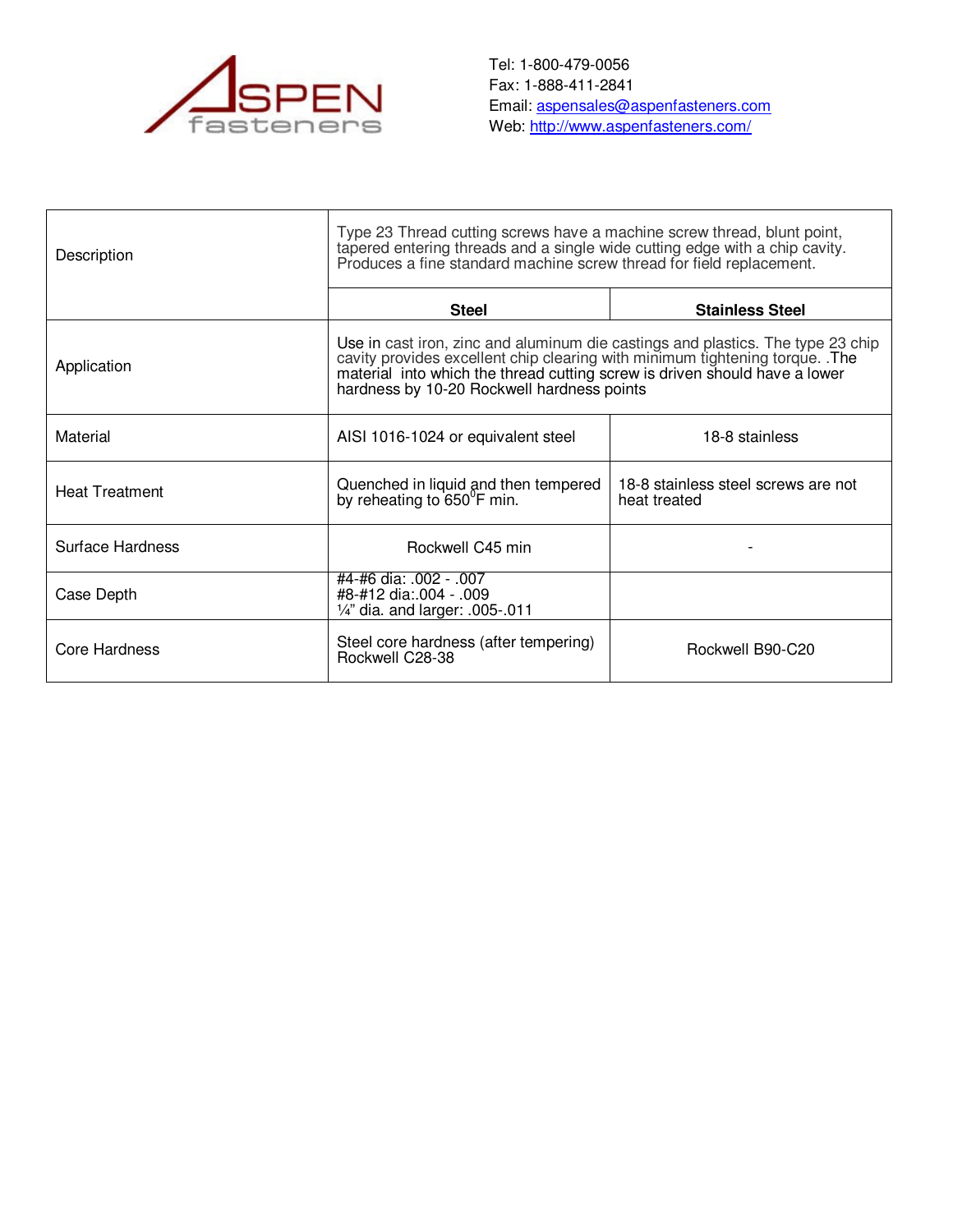

| Description           | Type 23 Thread cutting screws have a machine screw thread, blunt point,<br>tapered entering threads and a single wide cutting edge with a chip cavity.<br>Produces a fine standard machine screw thread for field replacement.                                                           |                                                     |  |  |  |  |  |  |
|-----------------------|------------------------------------------------------------------------------------------------------------------------------------------------------------------------------------------------------------------------------------------------------------------------------------------|-----------------------------------------------------|--|--|--|--|--|--|
|                       | <b>Steel</b>                                                                                                                                                                                                                                                                             | <b>Stainless Steel</b>                              |  |  |  |  |  |  |
| Application           | Use in cast iron, zinc and aluminum die castings and plastics. The type 23 chip cavity provides excellent chip clearing with minimum tightening torque. .The<br>material into which the thread cutting screw is driven should have a lower<br>hardness by 10-20 Rockwell hardness points |                                                     |  |  |  |  |  |  |
| Material              | AISI 1016-1024 or equivalent steel                                                                                                                                                                                                                                                       | 18-8 stainless                                      |  |  |  |  |  |  |
| <b>Heat Treatment</b> | Quenched in liquid and then tempered<br>by reheating to 650 <sup>°</sup> F min.                                                                                                                                                                                                          | 18-8 stainless steel screws are not<br>heat treated |  |  |  |  |  |  |
| Surface Hardness      | Rockwell C45 min                                                                                                                                                                                                                                                                         |                                                     |  |  |  |  |  |  |
| Case Depth            | #4-#6 dia: .002 - .007<br>#8-#12 dia:.004 - .009<br>$\frac{1}{4}$ dia. and larger: .005-.011                                                                                                                                                                                             |                                                     |  |  |  |  |  |  |
| Core Hardness         | Steel core hardness (after tempering)<br>Rockwell C28-38                                                                                                                                                                                                                                 | Rockwell B90-C20                                    |  |  |  |  |  |  |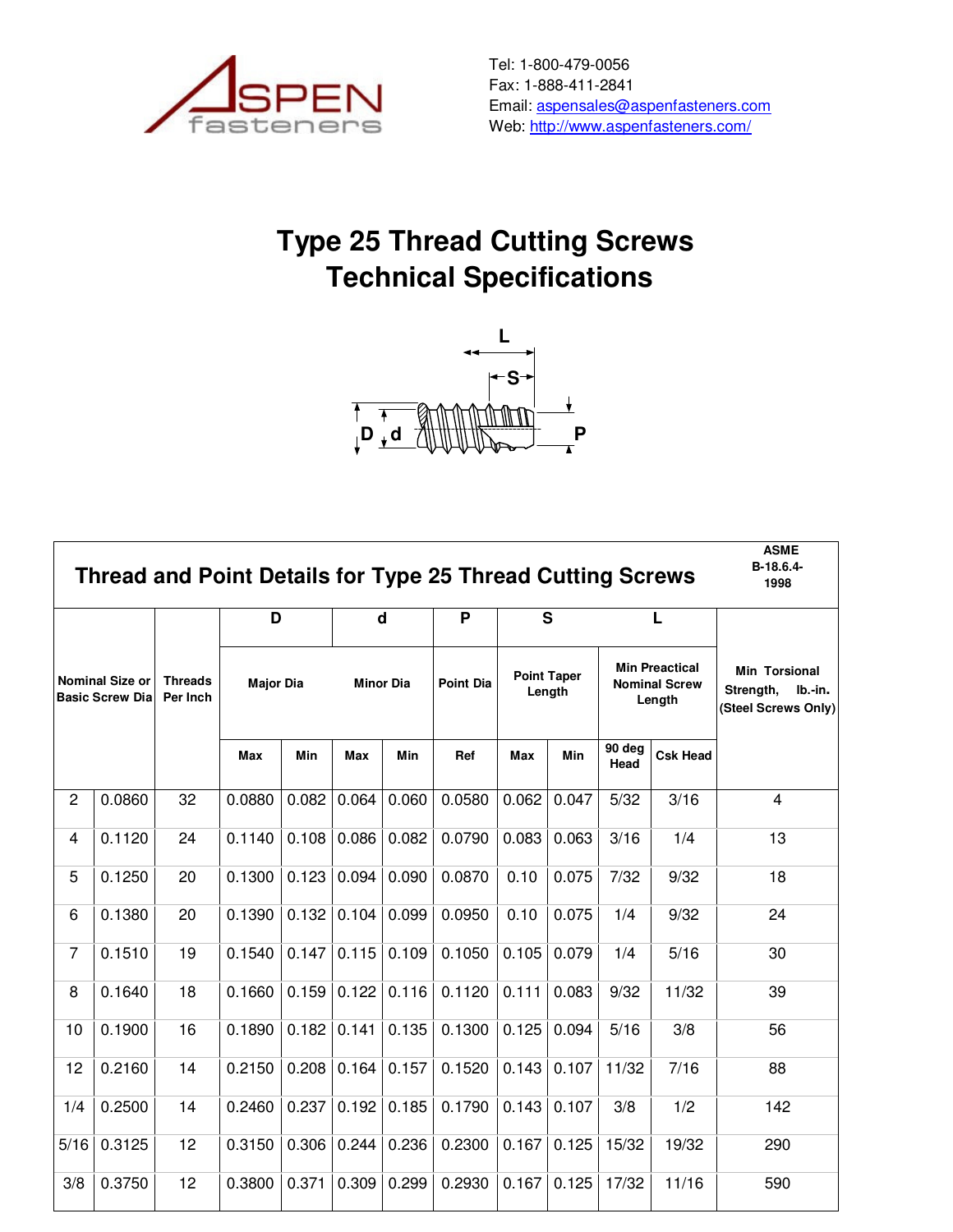

## **Type 25 Thread Cutting Screws Technical Specifications**



| <b>Thread and Point Details for Type 25 Thread Cutting Screws</b> |        |                            |                  |       |                  |       |                  |                              |       | <b>ASME</b><br>B-18.6.4-<br>1998                        |                 |                                                              |
|-------------------------------------------------------------------|--------|----------------------------|------------------|-------|------------------|-------|------------------|------------------------------|-------|---------------------------------------------------------|-----------------|--------------------------------------------------------------|
|                                                                   |        |                            | D                |       | $\mathbf d$      |       | P                | S                            |       | L                                                       |                 |                                                              |
| <b>Nominal Size or</b><br><b>Basic Screw Dia</b>                  |        | <b>Threads</b><br>Per Inch | <b>Major Dia</b> |       | <b>Minor Dia</b> |       | <b>Point Dia</b> | <b>Point Taper</b><br>Length |       | <b>Min Preactical</b><br><b>Nominal Screw</b><br>Length |                 | Min Torsional<br>Strength,<br>lb.-in.<br>(Steel Screws Only) |
|                                                                   |        |                            | <b>Max</b>       | Min   | Max              | Min   | Ref              | Max                          | Min   | 90 deg<br>Head                                          | <b>Csk Head</b> |                                                              |
| $\overline{2}$                                                    | 0.0860 | 32                         | 0.0880           | 0.082 | 0.064            | 0.060 | 0.0580           | 0.062                        | 0.047 | 5/32                                                    | 3/16            | $\overline{4}$                                               |
| 4                                                                 | 0.1120 | 24                         | 0.1140           | 0.108 | 0.086            | 0.082 | 0.0790           | 0.083                        | 0.063 | 3/16                                                    | 1/4             | 13                                                           |
| 5                                                                 | 0.1250 | 20                         | 0.1300           | 0.123 | 0.094            | 0.090 | 0.0870           | 0.10                         | 0.075 | 7/32                                                    | 9/32            | 18                                                           |
| 6                                                                 | 0.1380 | 20                         | 0.1390           | 0.132 | 0.104            | 0.099 | 0.0950           | 0.10                         | 0.075 | 1/4                                                     | 9/32            | 24                                                           |
| $\overline{7}$                                                    | 0.1510 | 19                         | 0.1540           | 0.147 | 0.115            | 0.109 | 0.1050           | 0.105                        | 0.079 | 1/4                                                     | 5/16            | 30                                                           |
| 8                                                                 | 0.1640 | 18                         | 0.1660           | 0.159 | 0.122            | 0.116 | 0.1120           | 0.111                        | 0.083 | 9/32                                                    | 11/32           | 39                                                           |
| 10                                                                | 0.1900 | 16                         | 0.1890           | 0.182 | 0.141            | 0.135 | 0.1300           | 0.125                        | 0.094 | 5/16                                                    | 3/8             | 56                                                           |
| 12                                                                | 0.2160 | 14                         | 0.2150           | 0.208 | 0.164            | 0.157 | 0.1520           | 0.143                        | 0.107 | 11/32                                                   | 7/16            | 88                                                           |
| 1/4                                                               | 0.2500 | 14                         | 0.2460           | 0.237 | 0.192            | 0.185 | 0.1790           | 0.143                        | 0.107 | 3/8                                                     | 1/2             | 142                                                          |
| 5/16                                                              | 0.3125 | 12                         | 0.3150           | 0.306 | 0.244            | 0.236 | 0.2300           | 0.167                        | 0.125 | 15/32                                                   | 19/32           | 290                                                          |
| 3/8                                                               | 0.3750 | 12                         | 0.3800           | 0.371 | 0.309            | 0.299 | 0.2930           | 0.167                        | 0.125 | 17/32                                                   | 11/16           | 590                                                          |